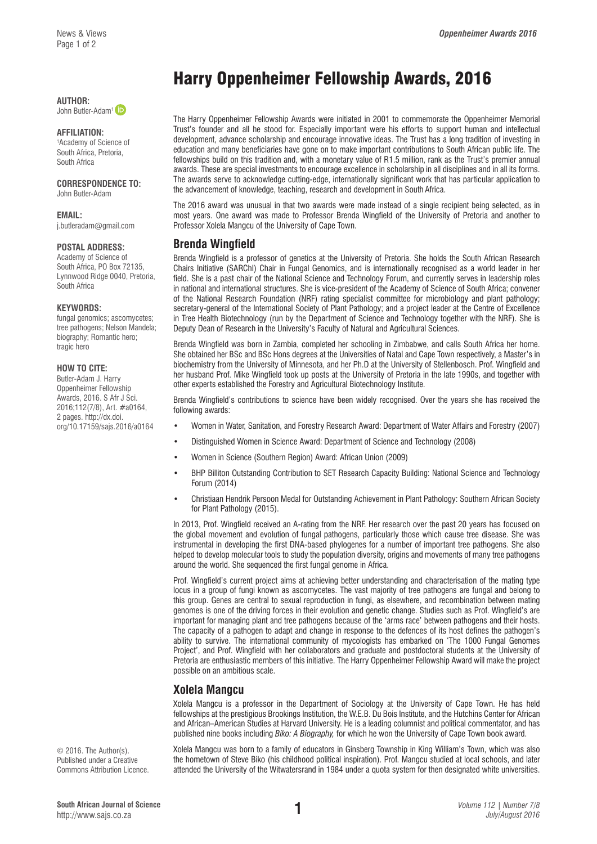**AUTHOR:**  John Butler-Adam<sup>1</sup>

## **AFFILIATION:**

1 Academy of Science of South Africa, Pretoria, South Africa

### **CORRESPONDENCE TO:**

John Butler-Adam

#### **EMAIL:**

[j.butleradam@gmail.com](mailto:j.butleradam@gmail.com)

#### **POSTAL ADDRESS:**

Academy of Science of South Africa, PO Box 72135, Lynnwood Ridge 0040, Pretoria, South Africa

#### **KEYWORDS:**

fungal genomics; ascomycetes; tree pathogens; Nelson Mandela; biography; Romantic hero; tragic hero

#### **HOW TO CITE:**

Butler-Adam J. Harry Oppenheimer Fellowship Awards, 2016. S Afr J Sci. 2016;112(7/8), Art. #a0164, 2 pages. [http://dx.doi.](http://dx.doi.org/10.17159/sajs.2016/a0164) [org/10.17159/sajs.2016/a0164](http://dx.doi.org/10.17159/sajs.2016/a0164)

# Harry Oppenheimer Fellowship Awards, 2016

The Harry Oppenheimer Fellowship Awards were initiated in 2001 to commemorate the Oppenheimer Memorial Trust's founder and all he stood for. Especially important were his efforts to support human and intellectual development, advance scholarship and encourage innovative ideas. The Trust has a long tradition of investing in education and many beneficiaries have gone on to make important contributions to South African public life. The fellowships build on this tradition and, with a monetary value of R1.5 million, rank as the Trust's premier annual awards. These are special investments to encourage excellence in scholarship in all disciplines and in all its forms. The awards serve to acknowledge cutting-edge, internationally significant work that has particular application to the advancement of knowledge, teaching, research and development in South Africa.

The 2016 award was unusual in that two awards were made instead of a single recipient being selected, as in most years. One award was made to Professor Brenda Wingfield of the University of Pretoria and another to Professor Xolela Mangcu of the University of Cape Town.

## **Brenda Wingfield**

Brenda Wingfield is a professor of genetics at the University of Pretoria. She holds the South African Research Chairs Initiative (SARChI) Chair in Fungal Genomics, and is internationally recognised as a world leader in her field. She is a past chair of the National Science and Technology Forum, and currently serves in leadership roles in national and international structures. She is vice-president of the Academy of Science of South Africa; convener of the National Research Foundation (NRF) rating specialist committee for microbiology and plant pathology; secretary-general of the International Society of Plant Pathology; and a project leader at the Centre of Excellence in Tree Health Biotechnology (run by the Department of Science and Technology together with the NRF). She is Deputy Dean of Research in the University's Faculty of Natural and Agricultural Sciences.

Brenda Wingfield was born in Zambia, completed her schooling in Zimbabwe, and calls South Africa her home. She obtained her BSc and BSc Hons degrees at the Universities of Natal and Cape Town respectively, a Master's in biochemistry from the University of Minnesota, and her Ph.D at the University of Stellenbosch. Prof. Wingfield and her husband Prof. Mike Wingfield took up posts at the University of Pretoria in the late 1990s, and together with other experts established the Forestry and Agricultural Biotechnology Institute.

Brenda Wingfield's contributions to science have been widely recognised. Over the years she has received the following awards:

- Women in Water, Sanitation, and Forestry Research Award: Department of Water Affairs and Forestry (2007)
- Distinguished Women in Science Award: Department of Science and Technology (2008)
- Women in Science (Southern Region) Award: African Union (2009)
- BHP Billiton Outstanding Contribution to SET Research Capacity Building: National Science and Technology Forum (2014)
- Christiaan Hendrik Persoon Medal for Outstanding Achievement in Plant Pathology: Southern African Society for Plant Pathology (2015).

In 2013, Prof. Wingfield received an A-rating from the NRF. Her research over the past 20 years has focused on the global movement and evolution of fungal pathogens, particularly those which cause tree disease. She was instrumental in developing the first DNA-based phylogenes for a number of important tree pathogens. She also helped to develop molecular tools to study the population diversity, origins and movements of many tree pathogens around the world. She sequenced the first fungal genome in Africa.

Prof. Wingfield's current project aims at achieving better understanding and characterisation of the mating type locus in a group of fungi known as ascomycetes. The vast majority of tree pathogens are fungal and belong to this group. Genes are central to sexual reproduction in fungi, as elsewhere, and recombination between mating genomes is one of the driving forces in their evolution and genetic change. Studies such as Prof. Wingfield's are important for managing plant and tree pathogens because of the 'arms race' between pathogens and their hosts. The capacity of a pathogen to adapt and change in response to the defences of its host defines the pathogen's ability to survive. The international community of mycologists has embarked on 'The 1000 Fungal Genomes Project', and Prof. Wingfield with her collaborators and graduate and postdoctoral students at the University of Pretoria are enthusiastic members of this initiative. The Harry Oppenheimer Fellowship Award will make the project possible on an ambitious scale.

## **Xolela Mangcu**

Xolela Mangcu is a professor in the Department of Sociology at the University of Cape Town. He has held fellowships at the prestigious Brookings Institution, the W.E.B. Du Bois Institute, and the Hutchins Center for African and African–American Studies at Harvard University. He is a leading columnist and political commentator, and has published nine books including *Biko: A Biography,* for which he won the University of Cape Town book award.

Xolela Mangcu was born to a family of educators in Ginsberg Township in King William's Town, which was also the hometown of Steve Biko (his childhood political inspiration). Prof. Mangcu studied at local schools, and later attended the University of the Witwatersrand in 1984 under a quota system for then designated white universities.

© 2016. The Author(s). Published under a Creative Commons Attribution Licence.